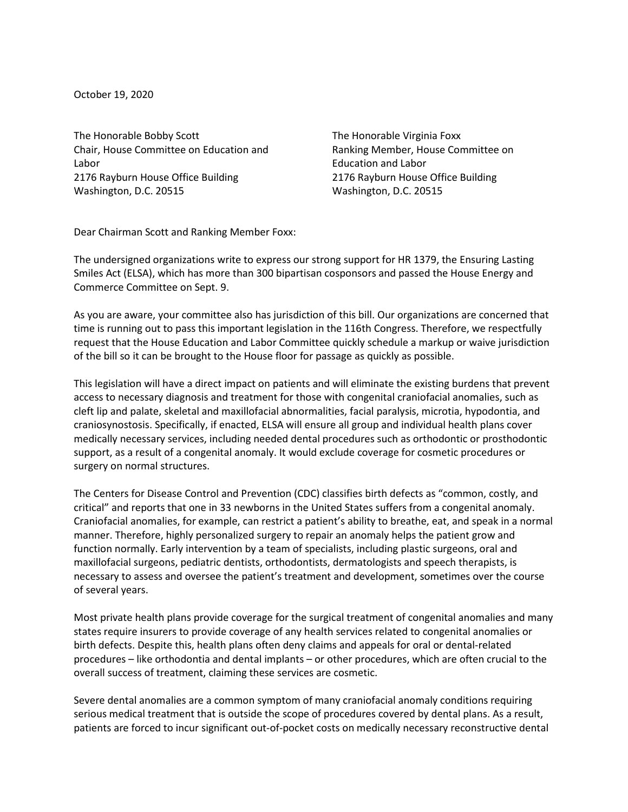October 19, 2020

The Honorable Bobby Scott Chair, House Committee on Education and Labor 2176 Rayburn House Office Building Washington, D.C. 20515

The Honorable Virginia Foxx Ranking Member, House Committee on Education and Labor 2176 Rayburn House Office Building Washington, D.C. 20515

Dear Chairman Scott and Ranking Member Foxx:

The undersigned organizations write to express our strong support for HR 1379, the Ensuring Lasting Smiles Act (ELSA), which has more than 300 bipartisan cosponsors and passed the House Energy and Commerce Committee on Sept. 9.

As you are aware, your committee also has jurisdiction of this bill. Our organizations are concerned that time is running out to pass this important legislation in the 116th Congress. Therefore, we respectfully request that the House Education and Labor Committee quickly schedule a markup or waive jurisdiction of the bill so it can be brought to the House floor for passage as quickly as possible.

This legislation will have a direct impact on patients and will eliminate the existing burdens that prevent access to necessary diagnosis and treatment for those with congenital craniofacial anomalies, such as cleft lip and palate, skeletal and maxillofacial abnormalities, facial paralysis, microtia, hypodontia, and craniosynostosis. Specifically, if enacted, ELSA will ensure all group and individual health plans cover medically necessary services, including needed dental procedures such as orthodontic or prosthodontic support, as a result of a congenital anomaly. It would exclude coverage for cosmetic procedures or surgery on normal structures.

The Centers for Disease Control and Prevention (CDC) classifies birth defects as "common, costly, and critical" and reports that one in 33 newborns in the United States suffers from a congenital anomaly. Craniofacial anomalies, for example, can restrict a patient's ability to breathe, eat, and speak in a normal manner. Therefore, highly personalized surgery to repair an anomaly helps the patient grow and function normally. Early intervention by a team of specialists, including plastic surgeons, oral and maxillofacial surgeons, pediatric dentists, orthodontists, dermatologists and speech therapists, is necessary to assess and oversee the patient's treatment and development, sometimes over the course of several years.

Most private health plans provide coverage for the surgical treatment of congenital anomalies and many states require insurers to provide coverage of any health services related to congenital anomalies or birth defects. Despite this, health plans often deny claims and appeals for oral or dental-related procedures – like orthodontia and dental implants – or other procedures, which are often crucial to the overall success of treatment, claiming these services are cosmetic.

Severe dental anomalies are a common symptom of many craniofacial anomaly conditions requiring serious medical treatment that is outside the scope of procedures covered by dental plans. As a result, patients are forced to incur significant out-of-pocket costs on medically necessary reconstructive dental